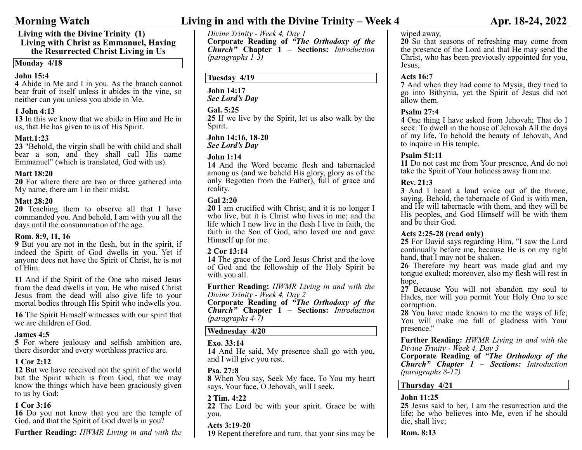#### Living with the Divine Trinity (1) Living with Christ as Emmanuel, Having the Resurrected Christ Living in Us

# $\overline{a}$ **Monday 4/18**

# John 15:4

4 Abide in Me and I in you. As the branch cannot bear fruit of itself unless it abides in the vine, so neither can you unless you abide in Me.

# 1 John 4:13

13 In this we know that we abide in Him and He in us, that He has given to us of His Spirit.

# Matt.1:23

23 "Behold, the virgin shall be with child and shall bear a son, and they shall call His name Emmanuel" (which is translated, God with us).

# Matt 18:20

20 For where there are two or three gathered into My name, there am I in their midst.

#### Matt 28:20

20 Teaching them to observe all that I have commanded you. And behold, I am with you all the days until the consummation of the age.

### Rom. 8:9, 11, 16

9 But you are not in the flesh, but in the spirit, if indeed the Spirit of God dwells in you. Yet if anyone does not have the Spirit of Christ, he is not of Him.  $\overline{a}$ 

11 And if the Spirit of the One who raised Jesus from the dead dwells in you, He who raised Christ Jesus from the dead will also give life to your mortal bodies through His Spirit who indwells you.

16 The Spirit Himself witnesses with our spirit that we are children of God.

### James 4:5

5 For where jealousy and selfish ambition are, there disorder and every worthless practice are.

# 1 Cor 2:12

12 But we have received not the spirit of the world but the Spirit which is from God, that we may know the things which have been graciously given to us by God;

# 1 Cor 3:16

16 Do you not know that you are the temple of God, and that the Spirit of God dwells in you?

Further Reading: HWMR Living in and with the

# Morning Watch Living in and with the Divine Trinity – Week 4 Apr. 18-24, 2022

#### wiped away,

20 So that seasons of refreshing may come from the presence of the Lord and that He may send the Christ, who has been previously appointed for you, Jesus,

### Acts 16:7

7 And when they had come to Mysia, they tried to go into Bithynia, yet the Spirit of Jesus did not allow them.

### Psalm 27:4

4 One thing I have asked from Jehovah; That do I seek: To dwell in the house of Jehovah All the days of my life, To behold the beauty of Jehovah, And to inquire in His temple.

### Psalm 51:11

11 Do not cast me from Your presence, And do not take the Spirit of Your holiness away from me.

# Rev. 21:3

3 And I heard a loud voice out of the throne, saying, Behold, the tabernacle of God is with men, and He will tabernacle with them, and they will be His peoples, and God Himself will be with them and be their God.

### Acts 2:25-28 (read only)

25 For David says regarding Him, "I saw the Lord continually before me, because He is on my right hand, that I may not be shaken.

26 Therefore my heart was made glad and my tongue exulted; moreover, also my flesh will rest in hope,

27 Because You will not abandon my soul to Hades, nor will you permit Your Holy One to see corruption.

28 You have made known to me the ways of life; You will make me full of gladness with Your presence."

Further Reading: HWMR Living in and with the Divine Trinity - Week 4, Day 3

Corporate Reading of "The Orthodoxy of the **Church"** Chapter  $1$  – Sections: Introduction (paragraphs 8-12)

# Thursday 4/21

# John 11:25

25 Jesus said to her, I am the resurrection and the life; he who believes into Me, even if he should die, shall live;

### Rom. 8:13

Divine Trinity - Week 4, Day 1 Corporate Reading of "The Orthodoxy of the  $Church$ " Chapter  $1$  – Sections: Introduction

(paragraphs 1-3)

# Tuesday 4/19

# John 14:17

See Lord's Day

### Gal. 5:25

25 If we live by the Spirit, let us also walk by the Spirit.

# John 14:16, 18-20

See Lord's Day

# John 1:14

14 And the Word became flesh and tabernacled among us (and we beheld His glory, glory as of the only Begotten from the Father), full of grace and reality.

# Gal 2:20

20 I am crucified with Christ; and it is no longer I who live, but it is Christ who lives in me; and the life which I now live in the flesh I live in faith, the faith in the Son of God, who loved me and gave Himself up for me.

# 2 Cor 13:14

14 The grace of the Lord Jesus Christ and the love of God and the fellowship of the Holy Spirit be with you all.

Further Reading: HWMR Living in and with the Divine Trinity - Week 4, Day 2

Corporate Reading of "The Orthodoxy of the  $Church$ " Chapter  $1$  – Sections: Introduction (paragraphs 4-7)

# Wednesday 4/20

# Exo. 33:14

14 And He said, My presence shall go with you, and I will give you rest.

### Psa. 27:8

8 When You say, Seek My face, To You my heart says, Your face, O Jehovah, will I seek.

# 2 Tim. 4:22

22 The Lord be with your spirit. Grace be with you.

### Acts 3:19-20

19 Repent therefore and turn, that your sins may be